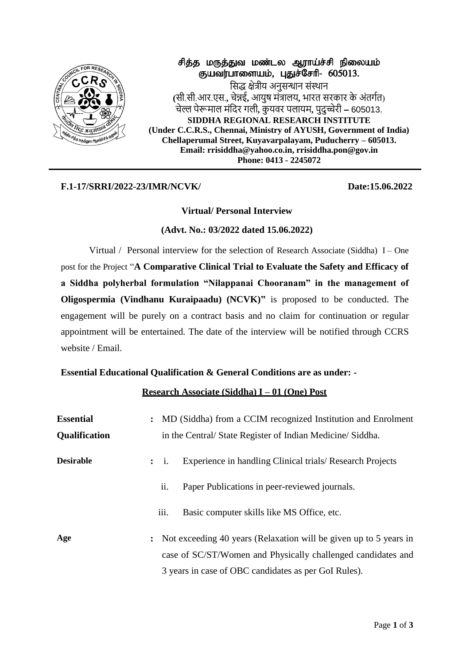

சித்த மருத்துவ மண்டல ஆராய்ச்சி நிலையம் குயவர்பாளையம், புதுச்சேரி- 605013. सिद्ध क्षेत्रीय अनुसन्धान संस्थान **(**िी.िी.आर.एि.**,** चेन्नई**,** आयुष मंत्रालय**,** भारत िरकार के अंतर्गत) चेल्ल पेरूमाल मंसदर र्ली**,** कु यवर पलायम**,** पुदुच्चेरी **–** 605013. **SIDDHA REGIONAL RESEARCH INSTITUTE (Under C.C.R.S., Chennai, Ministry of AYUSH, Government of India) Chellaperumal Street, Kuyavarpalayam, Puducherry – 605013. Email: rrisiddha@yahoo.co.in, rrisiddha.pon@gov.in Phone: 0413 - 2245072** 

# **F.1-17/SRRI/2022-23/IMR/NCVK/ Date:15.06.2022**

## **Virtual/ Personal Interview**

## **(Advt. No.: 03/2022 dated 15.06.2022)**

Virtual / Personal interview for the selection of Research Associate (Siddha)  $I$  – One post for the Project "**A Comparative Clinical Trial to Evaluate the Safety and Efficacy of a Siddha polyherbal formulation "Nilappanai Chooranam" in the management of Oligospermia (Vindhanu Kuraipaadu) (NCVK)"** is proposed to be conducted. The engagement will be purely on a contract basis and no claim for continuation or regular appointment will be entertained. The date of the interview will be notified through CCRS website / Email.

## **Essential Educational Qualification & General Conditions are as under: -**

# **Research Associate (Siddha) I – 01 (One) Post**

| <b>Essential</b>     | MD (Siddha) from a CCIM recognized Institution and Enrolment<br>$\ddot{\cdot}$            |
|----------------------|-------------------------------------------------------------------------------------------|
| <b>Qualification</b> | in the Central/State Register of Indian Medicine/Siddha.                                  |
| <b>Desirable</b>     | Experience in handling Clinical trials/ Research Projects<br>$\colon$ 1.                  |
|                      | ii.<br>Paper Publications in peer-reviewed journals.                                      |
|                      | Basic computer skills like MS Office, etc.<br>111.                                        |
| Age                  | Not exceeding 40 years (Relaxation will be given up to 5 years in<br>$\ddot{\phantom{a}}$ |
|                      | case of SC/ST/Women and Physically challenged candidates and                              |
|                      | 3 years in case of OBC candidates as per GoI Rules).                                      |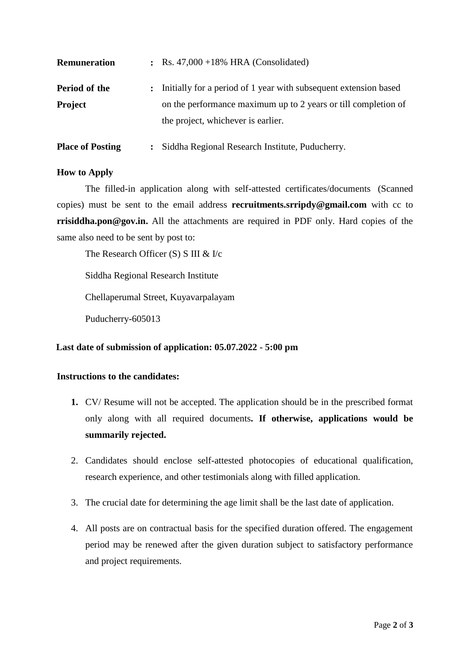| <b>Remuneration</b> | $\therefore$ Rs. 47,000 +18% HRA (Consolidated)                    |
|---------------------|--------------------------------------------------------------------|
| Period of the       | : Initially for a period of 1 year with subsequent extension based |
| <b>Project</b>      | on the performance maximum up to 2 years or till completion of     |
|                     | the project, whichever is earlier.                                 |

**Place of Posting : Siddha Regional Research Institute, Puducherry.** 

## **How to Apply**

The filled-in application along with self-attested certificates/documents (Scanned copies) must be sent to the email address **recruitments.srripdy@gmail.com** with cc to **rrisiddha.pon@gov.in.** All the attachments are required in PDF only. Hard copies of the same also need to be sent by post to:

The Research Officer (S) S III & I/c

Siddha Regional Research Institute

Chellaperumal Street, Kuyavarpalayam

Puducherry-605013

## **Last date of submission of application: 05.07.2022 - 5:00 pm**

## **Instructions to the candidates:**

- **1.** CV/ Resume will not be accepted. The application should be in the prescribed format only along with all required documents**. If otherwise, applications would be summarily rejected.**
- 2. Candidates should enclose self-attested photocopies of educational qualification, research experience, and other testimonials along with filled application.
- 3. The crucial date for determining the age limit shall be the last date of application.
- 4. All posts are on contractual basis for the specified duration offered. The engagement period may be renewed after the given duration subject to satisfactory performance and project requirements.